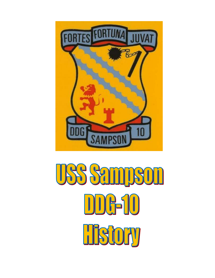

USS Sampson DDG-10 HSOEW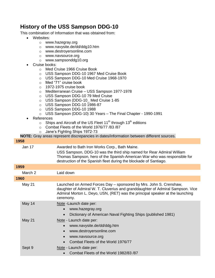## **History of the USS Sampson DDG-10**

This combination of Information that was obtained from:

- Websites:
	- o [www.hazegray.org](http://www.hazegray.org/)
	- o www.navysite.de/dd/ddg10.htm
	- o [www.destroyersonline.com](http://www.destroyersonline.com/)
	- o [www.navsource.org](http://www.navsource.org/)
	- o www.sampsonddg10.org
- Cruise books:
	- o Med Cruise 1966 Cruise Book
	- o USS Sampson DDG-10 1967 Med Cruise Book
	- o USS Sampson DDG-10 Med Cruise 1968-1970
	- o Med "71" cruise book
	- o 1972-1975 cruise book
	- o Mediterranean Cruise USS Sampson 1977-1978
	- o USS Sampson DDG-10 79 Med Cruise
	- o USS Sampson (DDG-10\_ Med Cruise 1-85
	- o USS Sampson DDG-10 1986-87
	- o USS Sampson DDG-10 1988
	- o USS Sampson (DDG-10) 30 Years The Final Chapter 1990-1991
- References
	- $\circ$  Ships and Aircraft of the US Fleet 11<sup>th</sup> through 13<sup>th</sup> editions
	- o Combat Fleets of the World 1976/77 /83 /87
	- o Jane's Fighting Ships 1972-73

**NOTE:** Gray areas represent discrepancies in dates/information between different sources.

## **1958**

Jan 17 Awarded to Bath Iron Works Corp., Bath Maine.

USS Sampson, DDG-10 was the third ship named for Rear Admiral William Thomas Sampson, hero of the Spanish-American War who was responsible for destruction of the Spanish fleet during the blockade of Santiago.

## **1959**

|      | March 2       | Laid down                                                                                                                                                                                                                                          |
|------|---------------|----------------------------------------------------------------------------------------------------------------------------------------------------------------------------------------------------------------------------------------------------|
| 1960 |               |                                                                                                                                                                                                                                                    |
|      | <b>May 21</b> | Launched on Armed Forces Day – sponsored by Mrs. John S. Crenshaw,<br>daughter of Admiral W. T. Cluverius and granddaughter of Admiral Sampson. Vice<br>Admiral Morton L. Deyo, USN, (RET) was the principal speaker at the launching<br>ceremony. |
|      | May 14        | Note-Launch date per:<br>www.hazegray.org<br>Dictionary of American Naval Fighting Ships (published 1981)<br>$\bullet$                                                                                                                             |
|      | <b>May 21</b> | Note - Launch date per:<br>www.navysite.de/dd/ddg.htm<br>www.destroyersonline.com<br>$\bullet$<br>www.navsource.org<br>$\bullet$<br>Combat Fleets of the World 1976/77                                                                             |
|      | Sept 9        | Note - Launch date per:<br>Combat Fleets of the World 1982/83 /87                                                                                                                                                                                  |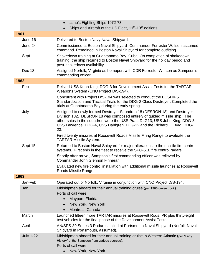|      |                  | Jane's Fighting Ships 1972-73<br>$\bullet$                                                                                                                                                                                                                                                                              |
|------|------------------|-------------------------------------------------------------------------------------------------------------------------------------------------------------------------------------------------------------------------------------------------------------------------------------------------------------------------|
|      |                  | Ships and Aircraft of the US Fleet, 11 <sup>th</sup> -13 <sup>th</sup> editions                                                                                                                                                                                                                                         |
| 1961 |                  |                                                                                                                                                                                                                                                                                                                         |
|      | June 16          | Delivered to Boston Navy Naval Shipyard.                                                                                                                                                                                                                                                                                |
|      | June 24          | Commissioned at Boston Naval Shipyard- Commander Forrester W. Isen assumed<br>command. Remained in Boston Naval Shipyard for complete outfitting.                                                                                                                                                                       |
|      | Sept             | Shakedown training at Guantanamo Bay, Cuba. On completion of shakedown<br>training, the ship returned to Boston Naval Shipyard for the holiday period and<br>post-shakedown availability                                                                                                                                |
|      | Dec 18           | Assigned Norfolk, Virginia as homeport with CDR Forrester W. Isen as Sampson's<br>commanding officer.                                                                                                                                                                                                                   |
|      | 1962             |                                                                                                                                                                                                                                                                                                                         |
|      | Feb              | Relived USS Kohn King, DDG-3 for Development Assist Tests for the TARTAR<br>Weapons System (CNO Project D/S-194).                                                                                                                                                                                                       |
|      |                  | Concurrent with Project D/S-194 was selected to conduct the BUSHIPS<br>Standardization and Tactical Trials for the DDG-2 Class Destroyer. Completed the<br>trials at Guantanamo Bay during the early spring                                                                                                             |
|      | July             | Assigned to newly formed Destroyer Squadron 18 (DESRON 18) and Destroyer<br>Division 182. DESRON 18 was composed entirely of guided missile ship. The<br>other ships in the squadron were the USS Pratt, DLG13, USS John King, DDG-3,<br>USS Lawrence, DDG-4, USS Dahlgren, DLG-12 and the Richard E. Byrd, DDG-<br>23. |
|      |                  | Fired twenty missiles at Roosevelt Roads Missile Firing Range to evaluate the<br><b>TARTAR Missile System.</b>                                                                                                                                                                                                          |
|      | Sept 15          | Returned to Boston Naval Shipyard for major alterations to the missile fire control<br>systems. First ship in the fleet to receive the SPG-51B fire control radars.                                                                                                                                                     |
|      |                  | Shortly after arrival, Sampson's first commanding officer was relieved by<br>Commander John Glennon Finneran.                                                                                                                                                                                                           |
|      |                  | Evaluated new fire control installation with additional missile launches at Roosevelt<br>Roads Missile Range.                                                                                                                                                                                                           |
|      | 1963             |                                                                                                                                                                                                                                                                                                                         |
|      | Jan-Feb          | Operated out of Norfolk, Virginia in conjunction with CNO Project D/S-194.                                                                                                                                                                                                                                              |
|      | Jan              | Midshipmen aboard for their annual training cruise (per 1966 cruise book).<br>Ports of call were:<br>Mayport, Florida<br>$\bullet$                                                                                                                                                                                      |
|      |                  | New York, New York<br>$\bullet$                                                                                                                                                                                                                                                                                         |
|      |                  | Montreal, Canada                                                                                                                                                                                                                                                                                                        |
|      | March            | Launched fifteen more TARTAR missiles at Roosevelt Rods, PR plus thirty-eight<br>test vehicles for the final phase of the Development Assist Tests.                                                                                                                                                                     |
|      | April            | AN/SPS-39 Series 3 Radar installed at Portsmouth Naval Shipyard (Norfolk Naval<br>Shipyard in Portsmouth, assumed).                                                                                                                                                                                                     |
|      | <b>July 1-22</b> | Midshipmen aboard for their annual training cruise in Western Atlantic (per "Early<br>History" of the Sampson from various sources).<br>Ports of call were:<br>New York, New York                                                                                                                                       |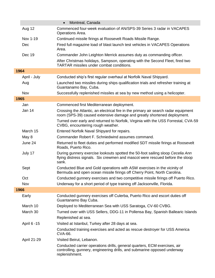|      |               | Montreal, Canada<br>$\bullet$                                                                                                                                                                           |
|------|---------------|---------------------------------------------------------------------------------------------------------------------------------------------------------------------------------------------------------|
|      | <b>Aug 12</b> | Commenced four-week evaluation of AN/SPS-39 Series 3 radar in VACAPES<br>Operations Area.                                                                                                               |
|      | Nov 1-19      | Continued missile firings at Roosevelt Roads Missile Range.                                                                                                                                             |
|      | Dec           | Fired full magazine load of blast launch test vehicles in VACAPES Operations<br>Area.                                                                                                                   |
|      | Dec 19        | Commander John Leighton Merrick assumes duty as commanding officer.<br>After Christmas holidays, Sampson, operating with the Second Fleet, fired two<br><b>TARTAR missiles under combat conditions.</b> |
| 1964 |               |                                                                                                                                                                                                         |
|      | April - July  | Conducted ship's first regular overhaul at Norfolk Naval Shipyard.                                                                                                                                      |
|      | Aug           | Launched two missiles during ships qualification trials and refresher training at<br>Guantanamo Bay, Cuba.                                                                                              |
|      | Nov           | Successfully replenished missiles at sea by new method using a helicopter.                                                                                                                              |
| 1965 |               |                                                                                                                                                                                                         |
|      | Jan           | Commenced first Mediterranean deployment.                                                                                                                                                               |
|      | Jan 14        | Crossing the Atlantic, an electrical fire in the primary air search radar equipment<br>room (SPS-39) caused extensive damage and greatly shortened deployment.                                          |
|      |               | Turned over early and returned to Norfolk, Virginia with the USS Forrestal, CVA-59<br>CVBG, encountering rough weather.                                                                                 |
|      | March 15      | Entered Norfolk Naval Shipyard for repairs.                                                                                                                                                             |
|      | May 8         | Commander Robert F. Schniedwind assumes command.                                                                                                                                                        |
|      | June 24       | Returned to fleet duties and performed modified SDT missile firings at Roosevelt<br>Roads, Puerto Rico.                                                                                                 |
|      | July 17       | During gunnery exercise lookouts spotted the 50-foot sailing sloop Cecelia Ann<br>flying distress signals. Six crewmen and mascot were rescued before the sloop<br>sank.                                |
|      | Sept          | Conducted Blue and Gold operations with ASW exercises in the vicinity of<br>Bermuda and open ocean missile firings off Cherry Point, North Carolina.                                                    |
|      | Oct           | Conducted gunnery exercises and two competitive missile firings off Puerto Rico.                                                                                                                        |
|      | Nov           | Underway for a short period of type training off Jacksonville, Florida.                                                                                                                                 |
| 1966 |               |                                                                                                                                                                                                         |
|      | Early         | Conducted gunnery exercises off Culerba, Puerto Rico and escort duties off<br>Guantanamo Bay Cuba.                                                                                                      |
|      | March 10      | Deployed to Mediterranean Sea with USS Saratoga, CV-60 CVBG.                                                                                                                                            |
|      | March 30      | Turned over with USS Sellers, DDG-11 in Pollensa Bay, Spanish Ballearic Islands                                                                                                                         |
|      |               | Replenished at sea.                                                                                                                                                                                     |
|      | April 6 -15   | Visited at Istanbul, Turkey after 28 days at sea.                                                                                                                                                       |
|      |               | Conducted training exercises and acted as rescue destroyer for USS America<br><b>CVA-66.</b>                                                                                                            |
|      | April 21-29   | Visited Beirut, Lebanon.                                                                                                                                                                                |
|      |               | Conducted carrier operations drills, general quarters, ECM exercises, air<br>controlling, gunnery, engineering drills, and submarine opposed underway<br>replenishment.                                 |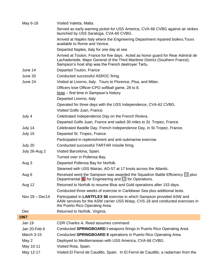| May 6-18         | Visited Valetta, Malta.                                                                                                                                                                                                  |
|------------------|--------------------------------------------------------------------------------------------------------------------------------------------------------------------------------------------------------------------------|
|                  | Served as early warning picket for USS America, CVA-66 CVBG against air strikes<br>launched by USS Saratoga, CVA-60 CVBG.                                                                                                |
|                  | Arrived at Naples Italy where the Engineering Department repaired boilers. Tours<br>available to Rome and Venice.                                                                                                        |
|                  | Departed Naples, Italy for one day at sea                                                                                                                                                                                |
|                  | Arrived at Toulon, France for five days. Acted as honor guard for Rear Admiral de<br>Lachadenede, Major General of the Third Maritime District (Southern France).<br>Sampson's host ship was the French destroyer Tartu. |
| June 14          | Departed Toulon, France                                                                                                                                                                                                  |
| June 20          | Conducted successful ASROC firing.                                                                                                                                                                                       |
| June 24          | Visited at Livorno, Italy. Tours to Florence, Pisa, and Milan.                                                                                                                                                           |
|                  | Officers lose Officer-CPO softball game, 28 to 8.                                                                                                                                                                        |
|                  | $Note$ – first time in Sampson's history                                                                                                                                                                                 |
|                  | Departed Livorno, Italy                                                                                                                                                                                                  |
|                  | Operated for three days with the USS Independence, CVA-62 CVBG.                                                                                                                                                          |
|                  | Visited Golfe Juan, France.                                                                                                                                                                                              |
| July 4           | Celebrated Independence Day on the French Riviera.                                                                                                                                                                       |
|                  | Departed Golfe Juan, France and sailed 30 miles to St. Tropez, France.                                                                                                                                                   |
| July 14          | Celebrated Bastille Day, French Independence Day, in St Tropez, France.                                                                                                                                                  |
| July 15          | Departed St. Tropez, France.                                                                                                                                                                                             |
|                  | Participated in replenishment and anti-submarine exercise.                                                                                                                                                               |
| July 20          | Conducted successful TARTAR missile firing.                                                                                                                                                                              |
| July 26-Aug 2    | Visited Barcelona, Spain.                                                                                                                                                                                                |
|                  | Turned over in Pollensa Bay.                                                                                                                                                                                             |
| Aug 3            | Departed Pollensa Bay for Norfolk.                                                                                                                                                                                       |
|                  | Steamed with USS Mairas, AO-57 at 17 knots across the Atlantic.                                                                                                                                                          |
| Aug 6            | Received word the Sampson was awarded the Squadron Battle Efficiency $E$ plus<br>Departmental $E$ for Engineering and $E$ for Operations.                                                                                |
| Aug 12           | Returned to Norfolk to resume Blue and Gold operations after 153 days.                                                                                                                                                   |
|                  | Conducted three weeks of exercise in Caribbean Sea plus additional tests.                                                                                                                                                |
| Nov $29 - Dec14$ | Participated in LANTFLEX 66 exercise in which Sampson provided ASW and<br>AAW services for the ASW carrier USS Wasp, CVS-18 and conducted exercises in<br>the Puerto Rico Operating Area.                                |
| Dec              | Returned to Norfolk, Virginia.                                                                                                                                                                                           |
| 1967             |                                                                                                                                                                                                                          |
| <b>Jan 19</b>    | CDR Charles A. Reed assumes command                                                                                                                                                                                      |
| Jan 20-Feb 6     | Conducted SPRINGBOARD I weapons firings in Puerto Rico Operating Area                                                                                                                                                    |
| March 3-15       | Conducted SPRINGBOARD II operations in Puerto Rico Operating Area.                                                                                                                                                       |
| May 2            | Deployed to Mediterranean with USS America, CVA-66 CVBG.                                                                                                                                                                 |
| May 10-11        | Visited Rota, Spain.                                                                                                                                                                                                     |
| May 12-17        | Visited El Ferrol de Caudillo, Spain. In El Ferrol de Caudillo, a radarman from the                                                                                                                                      |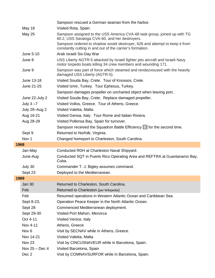|                  | Sampson rescued a German seaman from the harbor.                                                                                               |
|------------------|------------------------------------------------------------------------------------------------------------------------------------------------|
| <b>May 18</b>    | Visited Rota, Spain.                                                                                                                           |
| <b>May 25</b>    | Sampson assigned to the USS America CVA-66 task group, joined up with TG<br>60.2, USS Saratoga CVA-60, and her destroyers.                     |
|                  | Sampson ordered to shadow soviet destroyer, 626 and attempt to keep it from<br>constantly cutting in and out of the carrier's formation.       |
| June 5-10        | Arab Israeli Six-Day War                                                                                                                       |
| June 8           | USS Liberty AGTR-5 attacked by Israeli fighter jets aircraft and Israeli Navy<br>motor torpedo boats killing 34 crew members and wounding 171. |
| June 9           | Sampson was part of force which steamed and rendezvoused with the heavily<br>damaged USS Liberty (AGTR-5).                                     |
| June 13-18       | Visited Souda Bay, Crete. Tour of Knossos, Crete.                                                                                              |
| June 21-25       | Visited Izmir, Turkey. Tour Ephesus, Turkey.                                                                                                   |
|                  | Sampson damages propeller on uncharted object when leaving port                                                                                |
| June 22-July 2   | Visited Souda Bay, Crete. Replace damaged propeller.                                                                                           |
| July $3 - 7$     | Visited Vollos, Greece. Tour of Athens, Greece.                                                                                                |
| July 29-Aug 2    | Visited Valetta, Malta.                                                                                                                        |
| Aug 16-21        | Visited Genoa, Italy. Tour Rome and Italian Riviera.                                                                                           |
| Aug 28-29        | Visited Pollensa Bay, Spain for turnover.                                                                                                      |
|                  | Sampson received the Squadron Battle Efficiency $\mathbb{E}$ for the second time.                                                              |
| Sept 9           | Returned to Norfolk, Virginia.                                                                                                                 |
| Nov <sub>1</sub> | Changed homeport to Charleston, South Carolina.                                                                                                |
| 1968             |                                                                                                                                                |
| Jan-May          | Conducted RDH at Charleston Naval Shipyard.                                                                                                    |
| June-Aug         | Conducted SQT in Puerto Rico Operating Area and REFTRA at Guantanamo Bay,<br>Cuba.                                                             |
| July 30          | Commander T. J. Bigley assumes command.                                                                                                        |
| Sept 23          | Deployed to the Mediterranean.                                                                                                                 |
| 1969             |                                                                                                                                                |
| <b>Jan 30</b>    | Returned to Charleston, South Carolina.                                                                                                        |
| Feb              | Returned to Charleston (per Wikipedia)                                                                                                         |
| Feb              | Resumed operations in Western Atlantic Ocean and Caribbean Sea.                                                                                |
| Sept 8-23,       | Operation Peace Keeper in the North Atlantic Ocean.                                                                                            |
| Sept 28          | Commenced Mediterranean deployment.                                                                                                            |
| Sept 29-30       | Visited Port Mahon, Menorca                                                                                                                    |
| Oct 4-11         | Visited Venice, Italy                                                                                                                          |
| Nov 4-11         | Athens, Greece                                                                                                                                 |
| Nov <sub>6</sub> | Visit by SECNAV while in Athens, Greece.                                                                                                       |
| Nov 14-21        | Visited Valetta, Malta                                                                                                                         |
| Nov 23           | Visit by CINCUSNAVEUR while in Barcelona, Spain.                                                                                               |
| Nov $25 - Dec 4$ | Visited Barcelona, Spain                                                                                                                       |
| Dec 2            | Visit by COMNAVSURFOR while in Barcelona, Spain.                                                                                               |
|                  |                                                                                                                                                |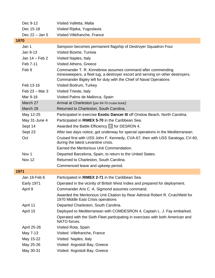| Dec 9-12          | Visited Valletta, Malta                                                                                                                                                                                           |
|-------------------|-------------------------------------------------------------------------------------------------------------------------------------------------------------------------------------------------------------------|
| Dec 15-18         | Visited Rijeka, Yugoslavia                                                                                                                                                                                        |
| Dec $22 -$ Jan 5  | Visited Villefranche, France                                                                                                                                                                                      |
| 1970              |                                                                                                                                                                                                                   |
| Jan 1             | Sampson becomes permanent flagship of Destroyer Squadron Four                                                                                                                                                     |
| Jan 9-13          | Visited Bizerte, Tunisia                                                                                                                                                                                          |
| Jan 14 – Feb 2    | Visited Naples, Italy                                                                                                                                                                                             |
| Feb 7-11          | Visited Athens, Greece                                                                                                                                                                                            |
| Feb 9             | Commander T. R. Kinnebrew assumes command after commending<br>minesweepers, a fleet tug, a destroyer escort and serving on other destroyers.<br>Commander Bigley left for duty with the Chief of Naval Operations |
| Feb 13-16         | Visited Bodrum, Turkey                                                                                                                                                                                            |
| Feb $23 -$ Mar 3  | Visited Trieste, Italy                                                                                                                                                                                            |
| Mar 9-16          | Visited Palms de Mallorca, Spain                                                                                                                                                                                  |
| March 27          | Arrival at Charleston (per 69-70 cruise book)                                                                                                                                                                     |
| March 28          | Returned to Charleston, South Carolina.                                                                                                                                                                           |
| May 12-25         | Participated in exercise Exotic Dancer III off Onslow Beach, North Carolina.                                                                                                                                      |
| May 31-June 4     | Participated in RIMEX 5-70 in the Caribbean Sea.                                                                                                                                                                  |
| Sept 14           | Awarded the Battle Efficiency E for DESRON 4.                                                                                                                                                                     |
| Sept 23           | After two days notice, got underway for special operations in the Mediterranean.                                                                                                                                  |
| Oct               | Cruised first with USS John F. Kennedy, CVA-67, then with USS Saratoga, CV-60,<br>during the latest Levantine crisis.                                                                                             |
|                   | Earned the Meritorious Unit Commendation.                                                                                                                                                                         |
| Nov <sub>1</sub>  | Departed Barcelona, Spain, to return to the United States.                                                                                                                                                        |
| <b>Nov 12</b>     | Returned to Charleston, South Carolina.                                                                                                                                                                           |
|                   | Commenced leave and upkeep period.                                                                                                                                                                                |
| 1971              |                                                                                                                                                                                                                   |
| Jan 18-Feb 6      | Participated in RIMEX 2-71 in the Caribbean Sea                                                                                                                                                                   |
| <b>Early 1971</b> | Operated in the vicinity of British West Indies and prepared for deployment.                                                                                                                                      |
| April 9           | Commander Aris C. A. Sigmond assumes command.                                                                                                                                                                     |
|                   | Awarded the Meritorious Unit Citation by Rear Admiral Robert R. Crutchfield for<br>1970 Middle East Crisis operations                                                                                             |
| April 11          | Departed Charleston, South Carolina.                                                                                                                                                                              |
| April 15          | Deployed to Mediterranean with COMDESRON 4, Captain L. J. Fay embarked.                                                                                                                                           |
|                   | Operated with the Sixth Fleet participating in exercises with both American and<br>NATO forces.                                                                                                                   |
| April 25-26       | Visited Rota, Spain                                                                                                                                                                                               |
| May 7-13          | Visited Villefranche, France                                                                                                                                                                                      |
| May 15-22         | Visited Naples, Italy                                                                                                                                                                                             |
| May 25-26         | Visited Argostoli Bay, Greece                                                                                                                                                                                     |
| May 30-31         | Visited Argostoli Bay, Greece                                                                                                                                                                                     |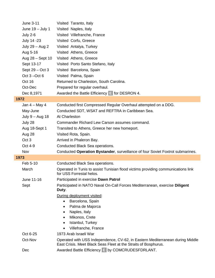|      | June 3-11          | Visited Taranto, Italy                                                                                       |
|------|--------------------|--------------------------------------------------------------------------------------------------------------|
|      | June $19 -$ July 1 | Visited Naples, Italy                                                                                        |
|      | <b>July 2-6</b>    | Visited Villefranche, France                                                                                 |
|      | July 14 -23        | Visited Corfu, Greece                                                                                        |
|      | July 29 - Aug 2    | Visited Antalya, Turkey                                                                                      |
|      | Aug 5-16           | Visited Athens, Greece                                                                                       |
|      | Aug 28 - Sept 10   | Visited Athens, Greece                                                                                       |
|      | Sept 13-17         | Visited Porto Santo Stefano, Italy                                                                           |
|      | Sept $29 - Oct 3$  | Visited Barcelona, Spain                                                                                     |
|      | Oct $3 - Oct 6$    | Visited Palma, Spain                                                                                         |
|      | Oct 16             | Returned to Charleston, South Carolina.                                                                      |
|      | Oct-Dec            | Prepared for regular overhaul.                                                                               |
|      | Dec 8,1971         | Awarded the Battle Efficiency $\Box$ for DESRON 4.                                                           |
| 1972 |                    |                                                                                                              |
|      | Jan $4 - May 4$    | Conducted first Compressed Regular Overhaul attempted on a DDG.                                              |
|      | May-June           | Conducted SDT, WSAT and REFTRA in Caribbean Sea.                                                             |
|      | July $9 - Aug$ 18  | At Charleston                                                                                                |
|      | July 28            | Commander Richard Lew Carson assumes command.                                                                |
|      | Aug 18-Sept 1      | Transited to Athens, Greece her new homeport.                                                                |
|      | Aug 28             | Visited Rota, Spain.                                                                                         |
|      | Oct <sub>3</sub>   | Arrived in Phaleron Bay.                                                                                     |
|      | Oct 4-9            | Conducted Black Sea operations.                                                                              |
|      | Nov                | Conducted Operation Bystander, surveillance of four Soviet Foxtrot submarines.                               |
| 1973 |                    |                                                                                                              |
|      | Feb 5-10           | Conducted Black Sea operations.                                                                              |
|      | March              | Operated in Tunis to assist Tunisian flood victims providing communications link<br>for USS Forrestal helos. |
|      | June 11-16         | Participated in exercise Dawn Patrol                                                                         |
|      | Sept               | Participated in NATO Naval On-Call Forces Mediterranean, exercise Diligent<br>Duty.                          |
|      |                    | During deployment visited:                                                                                   |
|      |                    | Barcelona, Spain<br>$\bullet$                                                                                |
|      |                    | Palma de Majorca<br>٠                                                                                        |
|      |                    | Naples, Italy<br>$\bullet$                                                                                   |
|      |                    | Mikonos, Crete<br>$\bullet$                                                                                  |
|      |                    | Istanbul, Turkey<br>$\bullet$<br>Villefranche, France                                                        |
|      | Oct 6-25           | 1973 Arab Israeli War                                                                                        |
|      | Oct-Nov            | Operated with USS Independence, CV-62, in Eastern Mediterranean during Middle                                |
|      |                    | East Crisis. Meet Black Seas Fleet at the Straits of Bosphurus.                                              |
|      | Dec                | Awarded Battle Efficiency E by COMCRUDESFDRLANT.                                                             |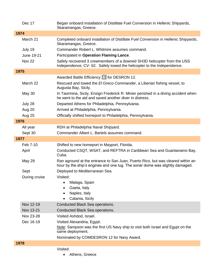|      | Dec 17                 | Began onboard installation of Distillate Fuel Conversion in Hellenic Shipyards,<br>Skaramangas, Greece.                                                         |
|------|------------------------|-----------------------------------------------------------------------------------------------------------------------------------------------------------------|
| 1974 |                        |                                                                                                                                                                 |
|      | March 21               | Completed onboard installation of Distillate Fuel Conversion in Hellenic Shipyards,<br>Skaramangas, Greece.                                                     |
|      | July 19                | Commander Robert L. Whitmire assumes command.                                                                                                                   |
|      | June 19-21             | Participated in Operation Flaming Lance.                                                                                                                        |
|      | <b>Nov 22</b>          | Safely recovered 3 crewmembers of a downed SH3D helicopter from the USS<br>Independence, CV-62. Safely towed the helicopter to the Independence.                |
| 1975 |                        |                                                                                                                                                                 |
|      |                        | Awarded Battle Efficiency E for DESRON 12.                                                                                                                      |
|      | March 22               | Rescued and towed the El Greco Commander, a Liberian fishing vessel, to<br>Augusta Bay, Sicily.                                                                 |
|      | <b>May 30</b>          | In Taormina, Sicily, Ensign Frederick R. Minier perished in a diving accident when<br>he went to the aid and saved another diver in distress.                   |
|      | July 28                | Departed Athens for Philadelphia, Pennsylvania.                                                                                                                 |
|      | Aug 20                 | Arrived at Philadelphia, Pennsylvania.                                                                                                                          |
|      | <b>Aug 25</b>          | Officially shifted homeport to Philadelphia, Pennsylvania.                                                                                                      |
| 1976 |                        |                                                                                                                                                                 |
|      | All year               | RDH at Philadelphia Naval Shipyard.                                                                                                                             |
|      | Sept 30                | Commander Albert L. Bartels assumes command.                                                                                                                    |
| 1977 |                        |                                                                                                                                                                 |
|      | Feb 7-10               | Shifted to new homeport in Mayport, Florida.                                                                                                                    |
|      | April                  | Conducted CSQT, WSAT, and REFTRA in Caribbean Sea and Guantanamo Bay,<br>Cuba.                                                                                  |
|      | <b>May 29</b>          | Ran aground at the entrance to San Juan, Puerto Rico, but was cleared within an<br>hour by the ship's engines and one tug. The sonar dome was slightly damaged. |
|      | Sept                   | Deployed to Mediterranean Sea.                                                                                                                                  |
|      | During cruise          | Visited:                                                                                                                                                        |
|      |                        | Malaga, Spain<br>٠                                                                                                                                              |
|      |                        | Gaeta, Italy                                                                                                                                                    |
|      |                        | Naples, Italy                                                                                                                                                   |
|      |                        | Catania, Sicily                                                                                                                                                 |
|      | Nov 12-19              | Conducted Black Sea operations.                                                                                                                                 |
|      | Nov 13-21              | Conducted Black Sea operations.                                                                                                                                 |
|      | Nov 23-28<br>Dec 16-19 | Visited Ashdod, Israel.                                                                                                                                         |
|      |                        | Visited Alexandria, Egypt.<br>Note: Sampson was the first US Navy ship to visit both Israel and Egypt on the                                                    |
|      |                        | same deployment.                                                                                                                                                |
|      |                        | Nominated by COMDESRON 12 for Navy Award.                                                                                                                       |
| 1978 |                        |                                                                                                                                                                 |
|      |                        | Visited:                                                                                                                                                        |
|      |                        | Athens, Greece                                                                                                                                                  |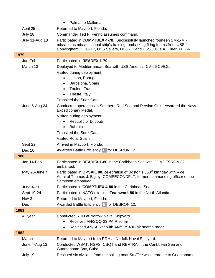|                       | Palma de Mallorca                                                                                                                                                                                                                                                                                                                                                                                                                   |
|-----------------------|-------------------------------------------------------------------------------------------------------------------------------------------------------------------------------------------------------------------------------------------------------------------------------------------------------------------------------------------------------------------------------------------------------------------------------------|
| April 25              | Returned to Mayport, Florida.                                                                                                                                                                                                                                                                                                                                                                                                       |
| July 28               | Commander Ted P. Fenno assumes command.                                                                                                                                                                                                                                                                                                                                                                                             |
| <b>July 31-Aug 18</b> | Participated in <b>COMPTUEX 4-78</b> . Successfully launched fourteen SM-1-MR<br>missiles as missile school ship's training, embarking firing teams from USS<br>Conyingham, DDG-17, USS Sellers, DDG-11 and USS Julius A. Furer, FFG-6.                                                                                                                                                                                             |
| 1979                  |                                                                                                                                                                                                                                                                                                                                                                                                                                     |
| Jan-Feb               | Participated in READEX 1-79.                                                                                                                                                                                                                                                                                                                                                                                                        |
| March 13              | Deployed to Mediterranean Sea with USS America, CV-66 CVBG.                                                                                                                                                                                                                                                                                                                                                                         |
| June 6-Aug 24         | Visited during deployment:<br>Lisbon, Portugal<br>Barcelona, Spain<br>$\bullet$<br>Toulon, France<br>$\bullet$<br>Trieste, Italy<br>$\bullet$<br><b>Transited the Suez Canal</b><br>Conducted operations in Southern Red Sea and Persian Gulf. Awarded the Navy<br><b>Expeditionary Medal.</b><br>Visited during deployment:<br>Republic of Djibouti<br>$\bullet$<br><b>Bahrain</b><br>$\bullet$<br><b>Transited the Suez Canal</b> |
|                       |                                                                                                                                                                                                                                                                                                                                                                                                                                     |
|                       | Visited Rota, Spain                                                                                                                                                                                                                                                                                                                                                                                                                 |
| Sept 22               | Arrived in Mayport, Florida.                                                                                                                                                                                                                                                                                                                                                                                                        |
| Dec 10                | Awarded Battle Efficiency $\boxed{=}$ for DESRON 12.                                                                                                                                                                                                                                                                                                                                                                                |
| 1980                  |                                                                                                                                                                                                                                                                                                                                                                                                                                     |
| Jan 14-Feb 1          | Participated in READEX 1-80 in the Caribbean Sea with COMDESRON 32<br>embarked.                                                                                                                                                                                                                                                                                                                                                     |
| May 26-June 4         | Participated in OPSAIL 80, celebration of Boston's 350 <sup>th</sup> birthday with Vice<br>Admiral Thomas J. Bigley, COMSECONDFLT, former commanding officer of the<br>Sampson embarked.                                                                                                                                                                                                                                            |
| June 4-21             | Participated in COMPTUEX 4-80 in the Caribbean Sea.                                                                                                                                                                                                                                                                                                                                                                                 |
| Sept 10-24            | Participated in NATO exercise Teamwork 80 in the North Atlantic.                                                                                                                                                                                                                                                                                                                                                                    |
| Nov <sub>3</sub>      | Returned to Mayport, Florida.                                                                                                                                                                                                                                                                                                                                                                                                       |
| Dec                   | Awarded Battle Efficiency $\boxed{=}$ for DESRON 12.                                                                                                                                                                                                                                                                                                                                                                                |
| 1981                  |                                                                                                                                                                                                                                                                                                                                                                                                                                     |
| All year              | Conducted RDH at Norfolk Naval Shipyard.<br>Received AN/SQQ-23 PAIR sonar<br>Replaced AN/SPS37 with AN/SPS40D air search radar                                                                                                                                                                                                                                                                                                      |
| 1982                  |                                                                                                                                                                                                                                                                                                                                                                                                                                     |
| March                 | Returned to Mayport from RDH at Norfolk Naval Shipyard.                                                                                                                                                                                                                                                                                                                                                                             |
| June 4-Aug 13         | Conducted WSAT, NGFS, CSQT and REFTRA in the Caribbean Sea and<br>Guantanamo Bay, Cuba.                                                                                                                                                                                                                                                                                                                                             |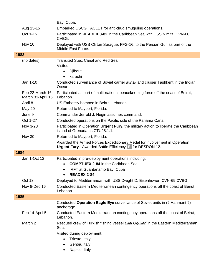|                                      | Bay, Cuba.                                                                                                                                                                                     |
|--------------------------------------|------------------------------------------------------------------------------------------------------------------------------------------------------------------------------------------------|
| Aug 13-15                            | Embarked USCG TACLET for anti-drug smuggling operations.                                                                                                                                       |
| Oct 1-15                             | Participated in READEX 3-82 in the Caribbean Sea with USS Nimitz, CVN-68<br>CVBG.                                                                                                              |
| Nov 10                               | Deployed with USS Clifton Sprague, FFG-16, to the Persian Gulf as part of the<br>Middle East Force.                                                                                            |
| 1983                                 |                                                                                                                                                                                                |
| (no dates)                           | <b>Transited Suez Canal and Red Sea</b><br>Visited:<br>Djibouti<br>$\bullet$<br>karachi<br>$\bullet$                                                                                           |
| Jan 1-10                             | Conducted surveillance of Soviet carrier <i>Minsk</i> and cruiser Tashkent in the Indian<br>Ocean                                                                                              |
| Feb 22-March 16<br>March 31-April 16 | Participated as part of multi-national peacekeeping force off the coast of Beirut,<br>Lebanon.                                                                                                 |
| April 8                              | US Embassy bombed in Beirut, Lebanon.                                                                                                                                                          |
| <b>May 20</b>                        | Returned to Mayport, Florida.                                                                                                                                                                  |
| June 9                               | Commander Jerrold J. Negin assumes command.                                                                                                                                                    |
| Oct 1-27                             | Conducted operations on the Pacific side of the Panama Canal.                                                                                                                                  |
| Nov 3-23                             | Participated in Operation Urgent Fury, the military action to liberate the Caribbean<br>island of Grenada as CTU28.1.1.                                                                        |
| Nov 30                               | Returned to Mayport, Florida.                                                                                                                                                                  |
|                                      | Awarded the Armed Forces Expeditionary Medal for involvement in Operation<br><b>Urgent Fury.</b> Awarded Battle Efficiency E for DESRON 12.                                                    |
| 1984                                 |                                                                                                                                                                                                |
| Jan 1-Oct 12                         | Participated in pre-deployment operations including:<br><b>COMPTUEX 2-84</b> in the Caribbean Sea<br>$\bullet$<br>IRFT at Guantanamo Bay, Cuba<br>$\bullet$<br><b>READEX 2-84</b><br>$\bullet$ |
| Oct 13                               | Deployed to Mediterranean with USS Dwight D. Eisenhower, CVN-69 CVBG.                                                                                                                          |
| Nov 8-Dec 16                         | Conducted Eastern Mediterranean contingency operations off the coast of Beirut,<br>Lebanon.                                                                                                    |
| 1985                                 |                                                                                                                                                                                                |
|                                      | Conducted Operation Eagle Eye surveillance of Soviet units in (? Hanmant ?)<br>anchorage.                                                                                                      |
| Feb 14-April 5                       | Conducted Eastern Mediterranean contingency operations off the coast of Beirut,<br>Lebanon.                                                                                                    |
| March 2                              | Rescued crew of Turkish fishing vessel Bilal Ogullari in the Eastern Mediterranean<br>Sea.                                                                                                     |
|                                      | Visited during deployment:                                                                                                                                                                     |
|                                      | Trieste, Italy<br>$\bullet$                                                                                                                                                                    |
|                                      | Genoa, Italy<br>٠                                                                                                                                                                              |
|                                      | Naples, Italy                                                                                                                                                                                  |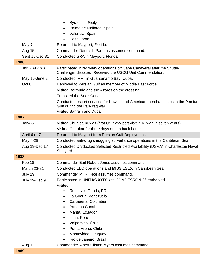|                  | Syracuse, Sicily<br>$\bullet$<br>Palma de Mallorca, Spain<br>٠                                                                                   |
|------------------|--------------------------------------------------------------------------------------------------------------------------------------------------|
|                  | Valencia, Spain<br>٠                                                                                                                             |
|                  | Haifa, Israel                                                                                                                                    |
| May 7            | Returned to Mayport, Florida.                                                                                                                    |
| <b>Aug 15</b>    | Commander Dennis I. Parsons assumes command.                                                                                                     |
| Sept 15-Dec 31   | Conducted SRA in Mayport, Florida.                                                                                                               |
| 1986             |                                                                                                                                                  |
| Jan 28-Feb 3     | Participated in recovery operations off Cape Canaveral after the Shuttle<br>Challenger disaster. Received the USCG Unit Commendation.            |
| May 16-June 24   | Conducted IRFT in Guantanamo Bay, Cuba.                                                                                                          |
| Oct <sub>6</sub> | Deployed to Persian Gulf as member of Middle East Force.                                                                                         |
|                  | Visited Bermuda and the Azores on the crossing.                                                                                                  |
|                  | <b>Transited the Suez Canal.</b>                                                                                                                 |
|                  | Conducted escort services for Kuwaiti and American merchant ships in the Persian<br>Gulf during the Iran-Iraq war.<br>Visited Bahrain and Dubai. |
| 1987             |                                                                                                                                                  |
| $Jan4-5$         | Visited Shuaiba Kuwait (first US Navy port visit in Kuwait in seven years).                                                                      |
|                  | Visited Gibraltar for three days on trip back home                                                                                               |
| April 6 or 7     | Returned to Mayport from Persian Gulf Deployment.                                                                                                |
| May 4-28         | Conducted anti-drug smuggling surveillance operations in the Caribbean Sea.                                                                      |
| Aug 19-Dec 17    | Conducted Drydocked Selected Restricted Availability (DSRA) in Charleston Naval<br>Shipyard.                                                     |
| 1988             |                                                                                                                                                  |
| Feb 18           | Commander Earl Robert Jones assumes command.                                                                                                     |
| March 23-31      | Conducted LEO operations and <b>MISSILSEX</b> in Caribbean Sea.                                                                                  |
| July 19          | Commander M. R. Rice assumes command.                                                                                                            |
| July 19-Dec 9    | Participated in UNITAS XXIX with COMDESRON 36 embarked.<br>Visited:                                                                              |
|                  | Roosevelt Roads, PR<br>$\bullet$                                                                                                                 |
|                  | La Guaria, Venezuela<br>$\bullet$                                                                                                                |
|                  | Cartagena, Columbia                                                                                                                              |
|                  | Panama Canal<br>$\bullet$                                                                                                                        |
|                  | Manta, Ecuador<br>٠                                                                                                                              |
|                  | Lima, Peru                                                                                                                                       |
|                  | Valparaiso, Chile<br>٠                                                                                                                           |
|                  | Punta Arena, Chile<br>٠                                                                                                                          |
|                  | Montevideo, Uruguay<br>٠                                                                                                                         |
|                  | Rio de Janeiro, Brazil                                                                                                                           |
| Aug 1            | Commander Albert Clinton Myers assumes command.                                                                                                  |
| 1989             |                                                                                                                                                  |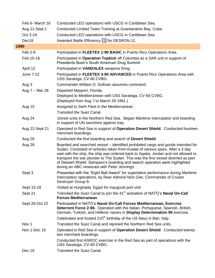| Feb 6- March 16  | Conducted LEO operations with USCG in Caribbean Sea.                                                                                                                                                                                                                                                                                                                                                                                                                       |
|------------------|----------------------------------------------------------------------------------------------------------------------------------------------------------------------------------------------------------------------------------------------------------------------------------------------------------------------------------------------------------------------------------------------------------------------------------------------------------------------------|
| Aug 21-Sept 1    | Conducted Limited Team Training at Guantanamo Bay, Cuba.                                                                                                                                                                                                                                                                                                                                                                                                                   |
| Oct 2-24         | Conducted LEO operations with USCG in Caribbean Sea.                                                                                                                                                                                                                                                                                                                                                                                                                       |
| Dec18            | Awarded Battle Efficiency E for DESRON 12.                                                                                                                                                                                                                                                                                                                                                                                                                                 |
| 1990             |                                                                                                                                                                                                                                                                                                                                                                                                                                                                            |
| Feb 2-9          | Participated in FLEETEX 1-90 BASIC in Puerto Rico Operations Area.                                                                                                                                                                                                                                                                                                                                                                                                         |
| Feb 10-18        | Participated in Operation Topkick off Columbia as a SAR unit in support of<br>Presidents Bush's South American Drug Summit.                                                                                                                                                                                                                                                                                                                                                |
| April 12         | Participated in VANDALEX weapons firing.                                                                                                                                                                                                                                                                                                                                                                                                                                   |
| <b>June 7-22</b> | Participated in FLEETEX 3-90 ADVANCED in Puerto Rico Operations Area with<br>USS Saratoga, CV-60 CVBG.                                                                                                                                                                                                                                                                                                                                                                     |
| Aug 3            | Commander William D. Sullivan assumes command.                                                                                                                                                                                                                                                                                                                                                                                                                             |
| Aug 7 - Mar 28   | Departed Mayport, Florida.                                                                                                                                                                                                                                                                                                                                                                                                                                                 |
|                  | Deployed to Mediterranean with USS Saratoga, CV-60 CVBG.<br>(Deployed from Aug 7 to March 28 1991.)                                                                                                                                                                                                                                                                                                                                                                        |
| Aug 15           | Assigned to Sixth Fleet in the Mediterranean.                                                                                                                                                                                                                                                                                                                                                                                                                              |
|                  | <b>Transited the Suez Canal.</b>                                                                                                                                                                                                                                                                                                                                                                                                                                           |
| Aug 24           | Joined units in the Northern Red Sea. Began Maritime interception and boarding<br>in support of UN sanctions against Iraq.                                                                                                                                                                                                                                                                                                                                                 |
| Aug 22-Sept 21   | Operated in Red Sea in support of Operation Desert Shield. Conducted fourteen<br>merchant boardings.                                                                                                                                                                                                                                                                                                                                                                       |
| Aug 26           | Conducted the first boarding and search of Desert Shield.                                                                                                                                                                                                                                                                                                                                                                                                                  |
| Aug 28           | Boarded and searched vessel – identified prohibited cargo and goods intended for<br>Sudan. Consisted of vehicles taken from Kuwait of various types. After a 3 day<br>wait with the ship, the ship was ordered back to Aqaba, Jordan and not allowed to<br>transport the war plunder to The Sudan. This was the first vessel diverted as part<br>of Dessert Shield. Sampson's boarding and search operation were highlighted<br>during an ABC newscast with Peter Jennings |
| Sept 3           | Presented with the "Eight Ball Award" for superlative performance during Maritime<br>Interception operations, by Rear Admiral Nick Gee, Commander of Cruiser<br>Destroyer Group 8.                                                                                                                                                                                                                                                                                         |
| Sept 15-18       | Visited at Hurghada, Egypt for inaugural port visit.                                                                                                                                                                                                                                                                                                                                                                                                                       |
| Sept 21          | Transited the Suez Canal to join the 41 <sup>st</sup> activation of NATO's Naval On-Call<br><b>Forces Mediterranean.</b>                                                                                                                                                                                                                                                                                                                                                   |
| Sept 26-Oct 22   | Participated in NATO's Naval On-Call Forces Mediterranean, Exercise<br><b>Deterrent Force 2-90.</b> Operated with the Italian, Portuguese, Spanish, British,<br>German, Turkish, and Hellenic navies in Display Determination 90 exercise.<br>Celebrated and hosted 215 <sup>th</sup> birthday of the US Navy in Bari, Italy.                                                                                                                                              |
| Nov <sub>1</sub> | Transited the Suez Canal and rejoined the Northern Red Sea units.                                                                                                                                                                                                                                                                                                                                                                                                          |
| Nov 1-Dec 15     | Operated in Red Sea in support of Operation Desert Shield. Conducted twenty-<br>two merchant boardings.                                                                                                                                                                                                                                                                                                                                                                    |
|                  | Conducted first ASROC exercise in the Red Sea as part of operations with the<br>USS Saratoga, CV-60 CVBG.                                                                                                                                                                                                                                                                                                                                                                  |
| Dec 16           | <b>Transited the Suez Canal.</b>                                                                                                                                                                                                                                                                                                                                                                                                                                           |
|                  |                                                                                                                                                                                                                                                                                                                                                                                                                                                                            |